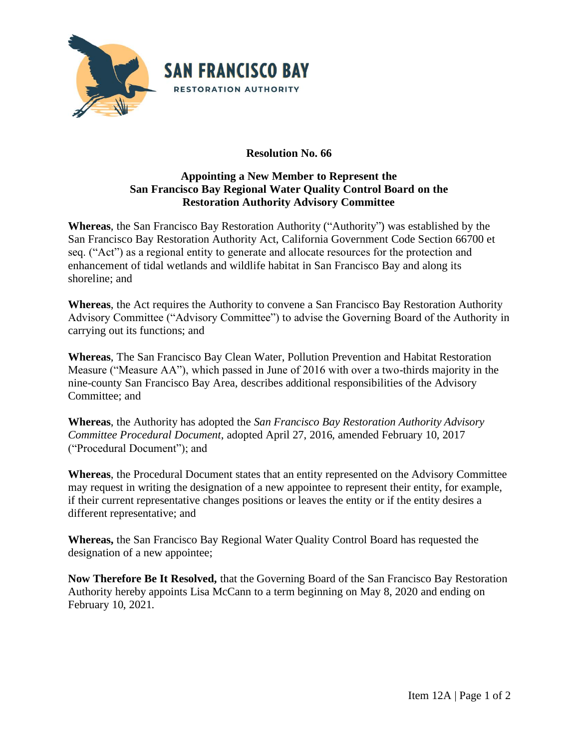

## **Resolution No. 66**

## **Appointing a New Member to Represent the San Francisco Bay Regional Water Quality Control Board on the Restoration Authority Advisory Committee**

**Whereas**, the San Francisco Bay Restoration Authority ("Authority") was established by the San Francisco Bay Restoration Authority Act, California Government Code Section 66700 et seq. ("Act") as a regional entity to generate and allocate resources for the protection and enhancement of tidal wetlands and wildlife habitat in San Francisco Bay and along its shoreline; and

**Whereas**, the Act requires the Authority to convene a San Francisco Bay Restoration Authority Advisory Committee ("Advisory Committee") to advise the Governing Board of the Authority in carrying out its functions; and

**Whereas**, The San Francisco Bay Clean Water, Pollution Prevention and Habitat Restoration Measure ("Measure AA"), which passed in June of 2016 with over a two-thirds majority in the nine-county San Francisco Bay Area, describes additional responsibilities of the Advisory Committee; and

**Whereas**, the Authority has adopted the *San Francisco Bay Restoration Authority Advisory Committee Procedural Document*, adopted April 27, 2016, amended February 10, 2017 ("Procedural Document"); and

**Whereas**, the Procedural Document states that an entity represented on the Advisory Committee may request in writing the designation of a new appointee to represent their entity, for example, if their current representative changes positions or leaves the entity or if the entity desires a different representative; and

**Whereas,** the San Francisco Bay Regional Water Quality Control Board has requested the designation of a new appointee;

**Now Therefore Be It Resolved,** that the Governing Board of the San Francisco Bay Restoration Authority hereby appoints Lisa McCann to a term beginning on May 8, 2020 and ending on February 10, 2021.